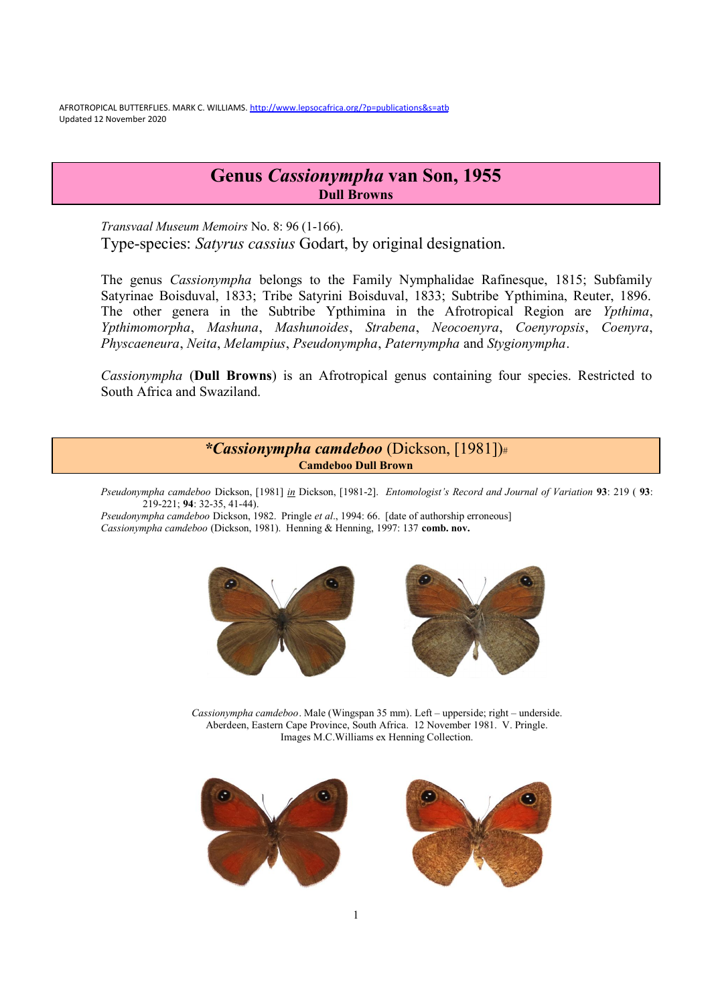AFROTROPICAL BUTTERFLIES. MARK C. WILLIAMS. <http://www.lepsocafrica.org/?p=publications&s=atb> Updated 12 November 2020

# **Genus** *Cassionympha* **van Son, 1955 Dull Browns**

*Transvaal Museum Memoirs* No. 8: 96 (1-166). Type-species: *Satyrus cassius* Godart, by original designation.

The genus *Cassionympha* belongs to the Family Nymphalidae Rafinesque, 1815; Subfamily Satyrinae Boisduval, 1833; Tribe Satyrini Boisduval, 1833; Subtribe Ypthimina, Reuter, 1896. The other genera in the Subtribe Ypthimina in the Afrotropical Region are *Ypthima*, *Ypthimomorpha*, *Mashuna*, *Mashunoides*, *Strabena*, *Neocoenyra*, *Coenyropsis*, *Coenyra*, *Physcaeneura*, *Neita*, *Melampius*, *Pseudonympha*, *Paternympha* and *Stygionympha*.

*Cassionympha* (**Dull Browns**) is an Afrotropical genus containing four species. Restricted to South Africa and Swaziland.

> *\*Cassionympha camdeboo* (Dickson, [1981])# **Camdeboo Dull Brown**

*Pseudonympha camdeboo* Dickson, [1981] *in* Dickson, [1981-2]. *Entomologist's Record and Journal of Variation* **93**: 219 ( **93**: 219-221; **94**: 32-35, 41-44).

*Pseudonympha camdeboo* Dickson, 1982. Pringle *et al*., 1994: 66. [date of authorship erroneous] *Cassionympha camdeboo* (Dickson, 1981). Henning & Henning, 1997: 137 **comb. nov.** 





*Cassionympha camdeboo*. Male (Wingspan 35 mm). Left – upperside; right – underside. Aberdeen, Eastern Cape Province, South Africa. 12 November 1981. V. Pringle. Images M.C.Williams ex Henning Collection.



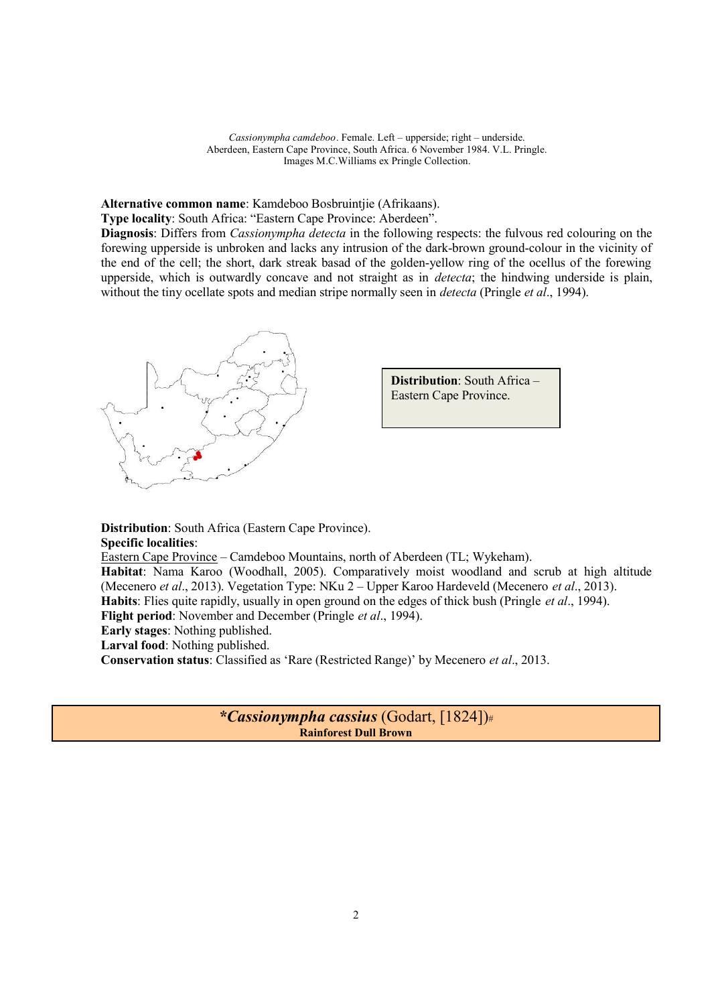*Cassionympha camdeboo*. Female. Left – upperside; right – underside. Aberdeen, Eastern Cape Province, South Africa. 6 November 1984. V.L. Pringle. Images M.C.Williams ex Pringle Collection.

**Alternative common name**: Kamdeboo Bosbruintjie (Afrikaans).

**Type locality**: South Africa: "Eastern Cape Province: Aberdeen".

**Diagnosis**: Differs from *Cassionympha detecta* in the following respects: the fulvous red colouring on the forewing upperside is unbroken and lacks any intrusion of the dark-brown ground-colour in the vicinity of the end of the cell; the short, dark streak basad of the golden-yellow ring of the ocellus of the forewing upperside, which is outwardly concave and not straight as in *detecta*; the hindwing underside is plain, without the tiny ocellate spots and median stripe normally seen in *detecta* (Pringle *et al*., 1994).



**Distribution**: South Africa (Eastern Cape Province). **Specific localities**: Eastern Cape Province – Camdeboo Mountains, north of Aberdeen (TL; Wykeham). **Habitat**: Nama Karoo (Woodhall, 2005). Comparatively moist woodland and scrub at high altitude (Mecenero *et al*., 2013). Vegetation Type: NKu 2 – Upper Karoo Hardeveld (Mecenero *et al*., 2013). **Habits**: Flies quite rapidly, usually in open ground on the edges of thick bush (Pringle *et al*., 1994). **Flight period**: November and December (Pringle *et al*., 1994). **Early stages**: Nothing published.

**Larval food**: Nothing published.

**Conservation status**: Classified as 'Rare (Restricted Range)' by Mecenero *et al*., 2013.

*\*Cassionympha cassius* (Godart, [1824])# **Rainforest Dull Brown**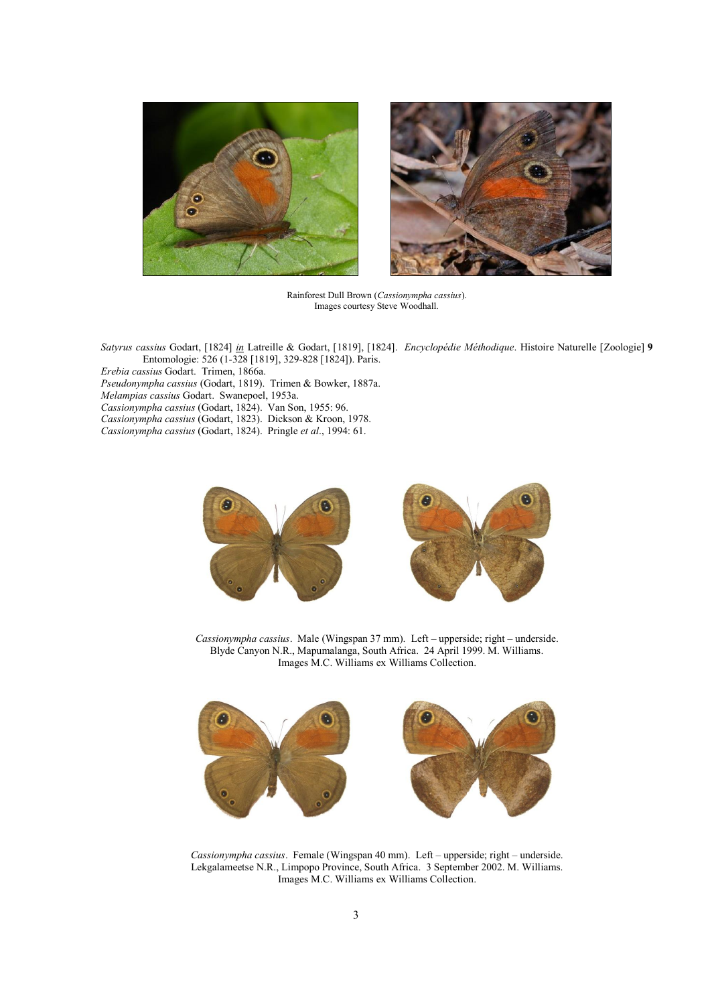



Rainforest Dull Brown (*Cassionympha cassius*). Images courtesy Steve Woodhall.

*Satyrus cassius* Godart, [1824] *in* Latreille & Godart, [1819], [1824]. *Encyclopédie Méthodique*. Histoire Naturelle [Zoologie] **9** Entomologie: 526 (1-328 [1819], 329-828 [1824]). Paris.

*Erebia cassius* Godart. Trimen, 1866a.

*Pseudonympha cassius* (Godart, 1819). Trimen & Bowker, 1887a.

*Melampias cassius* Godart. Swanepoel, 1953a.

*Cassionympha cassius* (Godart, 1824). Van Son, 1955: 96.

*Cassionympha cassius* (Godart, 1823). Dickson & Kroon, 1978.

*Cassionympha cassius* (Godart, 1824). Pringle *et al*., 1994: 61.



*Cassionympha cassius*. Male (Wingspan 37 mm). Left – upperside; right – underside. Blyde Canyon N.R., Mapumalanga, South Africa. 24 April 1999. M. Williams. Images M.C. Williams ex Williams Collection.



*Cassionympha cassius*. Female (Wingspan 40 mm). Left – upperside; right – underside. Lekgalameetse N.R., Limpopo Province, South Africa. 3 September 2002. M. Williams. Images M.C. Williams ex Williams Collection.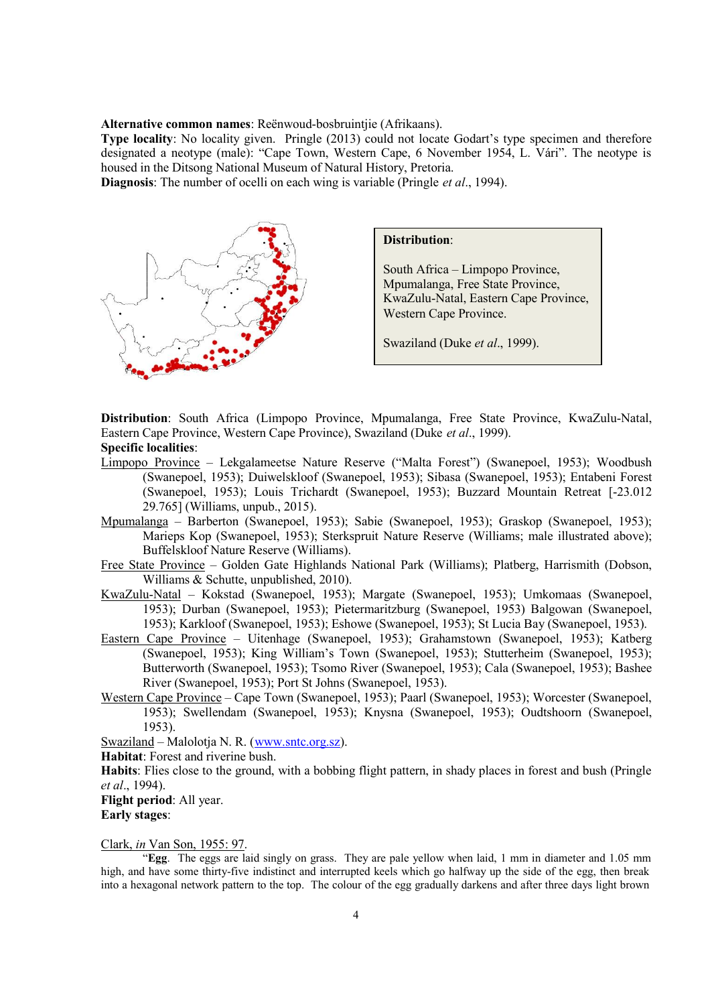**Alternative common names**: Reënwoud-bosbruintjie (Afrikaans).

**Type locality**: No locality given. Pringle (2013) could not locate Godart's type specimen and therefore designated a neotype (male): "Cape Town, Western Cape, 6 November 1954, L. Vári". The neotype is housed in the Ditsong National Museum of Natural History, Pretoria.

**Diagnosis**: The number of ocelli on each wing is variable (Pringle *et al*., 1994).



**Distribution**:

South Africa – Limpopo Province, Mpumalanga, Free State Province, KwaZulu-Natal, Eastern Cape Province, Western Cape Province.

Swaziland (Duke *et al*., 1999).

**Distribution**: South Africa (Limpopo Province, Mpumalanga, Free State Province, KwaZulu-Natal, Eastern Cape Province, Western Cape Province), Swaziland (Duke *et al*., 1999). **Specific localities**:

- Limpopo Province Lekgalameetse Nature Reserve ("Malta Forest") (Swanepoel, 1953); Woodbush (Swanepoel, 1953); Duiwelskloof (Swanepoel, 1953); Sibasa (Swanepoel, 1953); Entabeni Forest (Swanepoel, 1953); Louis Trichardt (Swanepoel, 1953); Buzzard Mountain Retreat [-23.012 29.765] (Williams, unpub., 2015).
- Mpumalanga Barberton (Swanepoel, 1953); Sabie (Swanepoel, 1953); Graskop (Swanepoel, 1953); Marieps Kop (Swanepoel, 1953); Sterkspruit Nature Reserve (Williams; male illustrated above); Buffelskloof Nature Reserve (Williams).
- Free State Province Golden Gate Highlands National Park (Williams); Platberg, Harrismith (Dobson, Williams & Schutte, unpublished, 2010).
- KwaZulu-Natal Kokstad (Swanepoel, 1953); Margate (Swanepoel, 1953); Umkomaas (Swanepoel, 1953); Durban (Swanepoel, 1953); Pietermaritzburg (Swanepoel, 1953) Balgowan (Swanepoel, 1953); Karkloof (Swanepoel, 1953); Eshowe (Swanepoel, 1953); St Lucia Bay (Swanepoel, 1953).
- Eastern Cape Province Uitenhage (Swanepoel, 1953); Grahamstown (Swanepoel, 1953); Katberg (Swanepoel, 1953); King William's Town (Swanepoel, 1953); Stutterheim (Swanepoel, 1953); Butterworth (Swanepoel, 1953); Tsomo River (Swanepoel, 1953); Cala (Swanepoel, 1953); Bashee River (Swanepoel, 1953); Port St Johns (Swanepoel, 1953).
- Western Cape Province Cape Town (Swanepoel, 1953); Paarl (Swanepoel, 1953); Worcester (Swanepoel, 1953); Swellendam (Swanepoel, 1953); Knysna (Swanepoel, 1953); Oudtshoorn (Swanepoel, 1953).

Swaziland – Malolotja N. R. [\(www.sntc.org.sz](http://www.sntc.org.sz)).

**Habitat**: Forest and riverine bush.

**Habits**: Flies close to the ground, with a bobbing flight pattern, in shady places in forest and bush (Pringle *et al*., 1994).

**Flight period**: All year. **Early stages**:

Clark, *in* Van Son, 1955: 97.

 "**Egg**. The eggs are laid singly on grass. They are pale yellow when laid, 1 mm in diameter and 1.05 mm high, and have some thirty-five indistinct and interrupted keels which go halfway up the side of the egg, then break into a hexagonal network pattern to the top. The colour of the egg gradually darkens and after three days light brown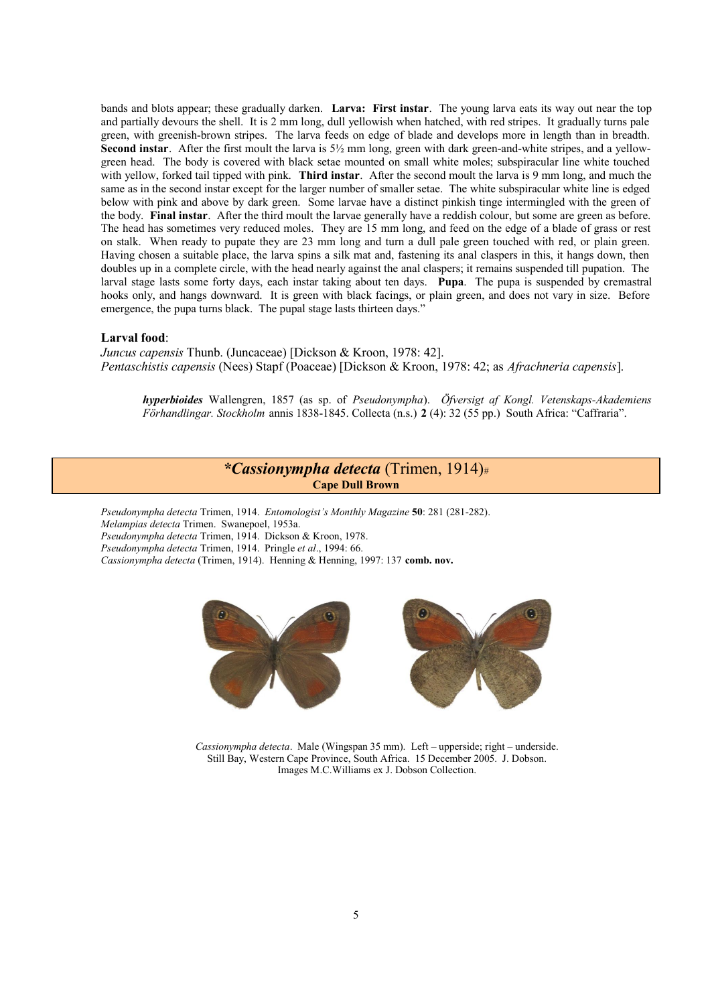bands and blots appear; these gradually darken. **Larva: First instar**. The young larva eats its way out near the top and partially devours the shell. It is 2 mm long, dull yellowish when hatched, with red stripes. It gradually turns pale green, with greenish-brown stripes. The larva feeds on edge of blade and develops more in length than in breadth. **Second instar**. After the first moult the larva is 5½ mm long, green with dark green-and-white stripes, and a yellowgreen head. The body is covered with black setae mounted on small white moles; subspiracular line white touched with yellow, forked tail tipped with pink. **Third instar**. After the second moult the larva is 9 mm long, and much the same as in the second instar except for the larger number of smaller setae. The white subspiracular white line is edged below with pink and above by dark green. Some larvae have a distinct pinkish tinge intermingled with the green of the body. **Final instar**. After the third moult the larvae generally have a reddish colour, but some are green as before. The head has sometimes very reduced moles. They are 15 mm long, and feed on the edge of a blade of grass or rest on stalk. When ready to pupate they are 23 mm long and turn a dull pale green touched with red, or plain green. Having chosen a suitable place, the larva spins a silk mat and, fastening its anal claspers in this, it hangs down, then doubles up in a complete circle, with the head nearly against the anal claspers; it remains suspended till pupation. The larval stage lasts some forty days, each instar taking about ten days. **Pupa**. The pupa is suspended by cremastral hooks only, and hangs downward. It is green with black facings, or plain green, and does not vary in size. Before emergence, the pupa turns black. The pupal stage lasts thirteen days."

#### **Larval food**:

*Juncus capensis* Thunb. (Juncaceae) [Dickson & Kroon, 1978: 42]. *Pentaschistis capensis* (Nees) Stapf (Poaceae) [Dickson & Kroon, 1978: 42; as *Afrachneria capensis*].

*hyperbioides* Wallengren, 1857 (as sp. of *Pseudonympha*). *Öfversigt af Kongl. Vetenskaps-Akademiens Förhandlingar. Stockholm* annis 1838-1845. Collecta (n.s.) **2** (4): 32 (55 pp.) South Africa: "Caffraria".

# *\*Cassionympha detecta* (Trimen, 1914)# **Cape Dull Brown**

*Pseudonympha detecta* Trimen, 1914. *Entomologist's Monthly Magazine* **50**: 281 (281-282). *Melampias detecta* Trimen. Swanepoel, 1953a. *Pseudonympha detecta* Trimen, 1914. Dickson & Kroon, 1978. *Pseudonympha detecta* Trimen, 1914. Pringle *et al*., 1994: 66. *Cassionympha detecta* (Trimen, 1914). Henning & Henning, 1997: 137 **comb. nov.** 



*Cassionympha detecta*. Male (Wingspan 35 mm). Left – upperside; right – underside. Still Bay, Western Cape Province, South Africa. 15 December 2005. J. Dobson. Images M.C.Williams ex J. Dobson Collection.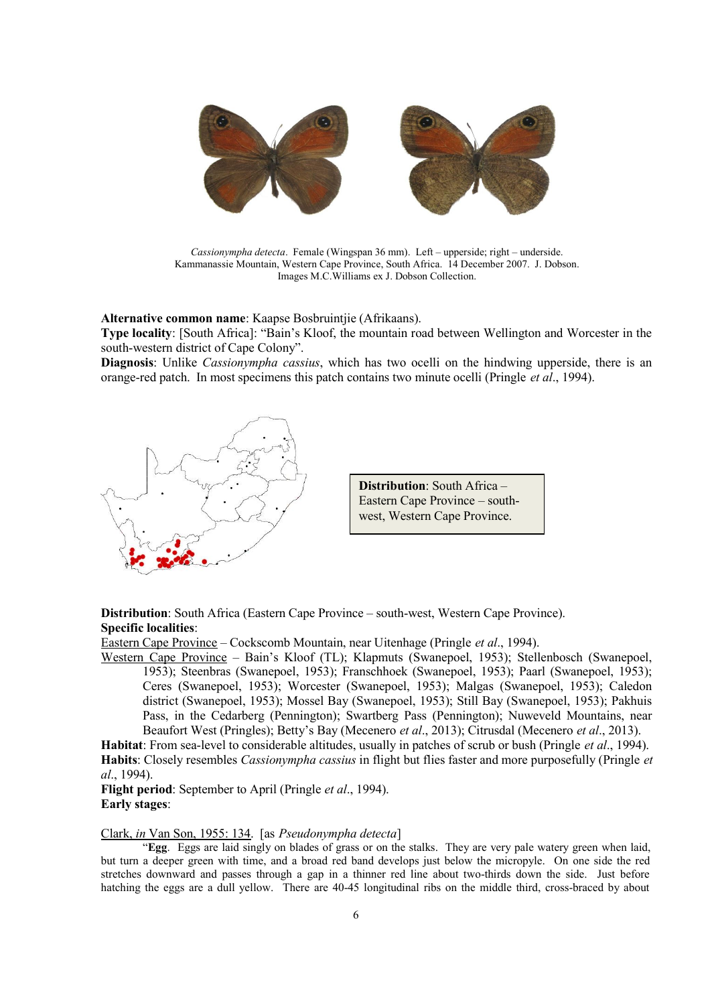

*Cassionympha detecta*. Female (Wingspan 36 mm). Left – upperside; right – underside. Kammanassie Mountain, Western Cape Province, South Africa. 14 December 2007. J. Dobson. Images M.C.Williams ex J. Dobson Collection.

**Alternative common name**: Kaapse Bosbruintjie (Afrikaans).

**Type locality**: [South Africa]: "Bain's Kloof, the mountain road between Wellington and Worcester in the south-western district of Cape Colony".

**Diagnosis**: Unlike *Cassionympha cassius*, which has two ocelli on the hindwing upperside, there is an orange-red patch. In most specimens this patch contains two minute ocelli (Pringle *et al*., 1994).





**Distribution**: South Africa (Eastern Cape Province – south-west, Western Cape Province). **Specific localities**:

Eastern Cape Province – Cockscomb Mountain, near Uitenhage (Pringle *et al*., 1994).

Western Cape Province – Bain's Kloof (TL); Klapmuts (Swanepoel, 1953); Stellenbosch (Swanepoel, 1953); Steenbras (Swanepoel, 1953); Franschhoek (Swanepoel, 1953); Paarl (Swanepoel, 1953); Ceres (Swanepoel, 1953); Worcester (Swanepoel, 1953); Malgas (Swanepoel, 1953); Caledon district (Swanepoel, 1953); Mossel Bay (Swanepoel, 1953); Still Bay (Swanepoel, 1953); Pakhuis Pass, in the Cedarberg (Pennington); Swartberg Pass (Pennington); Nuweveld Mountains, near Beaufort West (Pringles); Betty's Bay (Mecenero *et al*., 2013); Citrusdal (Mecenero *et al*., 2013).

**Habitat**: From sea-level to considerable altitudes, usually in patches of scrub or bush (Pringle *et al*., 1994). **Habits**: Closely resembles *Cassionympha cassius* in flight but flies faster and more purposefully (Pringle *et al*., 1994).

**Flight period**: September to April (Pringle *et al*., 1994). **Early stages**:

Clark, *in* Van Son, 1955: 134. [as *Pseudonympha detecta*]

 "**Egg**. Eggs are laid singly on blades of grass or on the stalks. They are very pale watery green when laid, but turn a deeper green with time, and a broad red band develops just below the micropyle. On one side the red stretches downward and passes through a gap in a thinner red line about two-thirds down the side. Just before hatching the eggs are a dull yellow. There are 40-45 longitudinal ribs on the middle third, cross-braced by about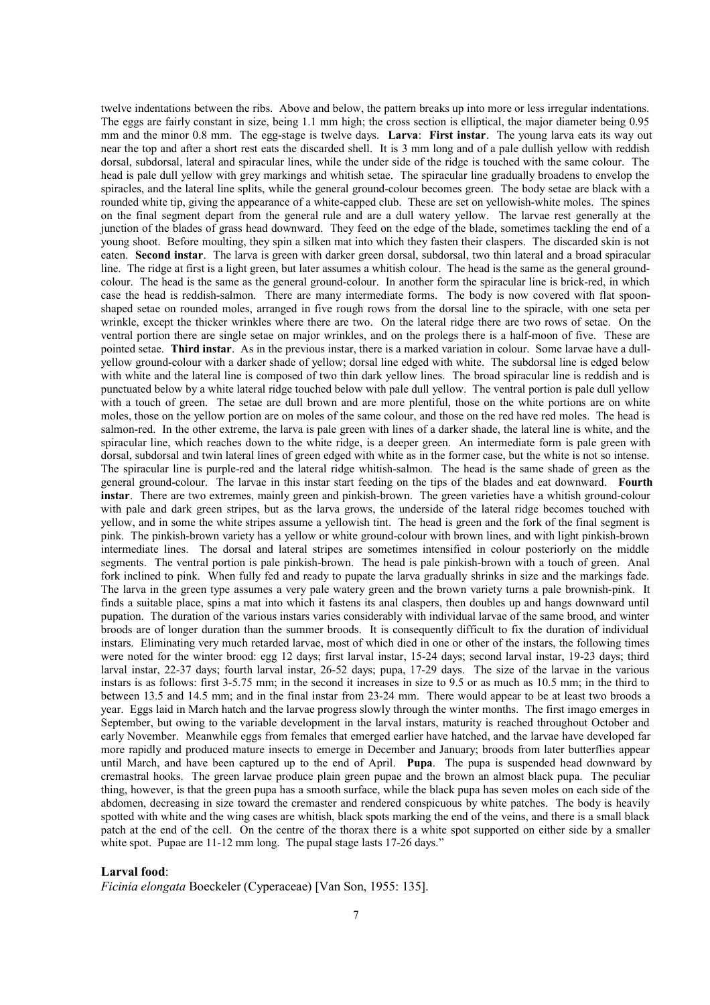twelve indentations between the ribs. Above and below, the pattern breaks up into more or less irregular indentations. The eggs are fairly constant in size, being 1.1 mm high; the cross section is elliptical, the major diameter being 0.95 mm and the minor 0.8 mm. The egg-stage is twelve days. **Larva**: **First instar**. The young larva eats its way out near the top and after a short rest eats the discarded shell. It is 3 mm long and of a pale dullish yellow with reddish dorsal, subdorsal, lateral and spiracular lines, while the under side of the ridge is touched with the same colour. The head is pale dull yellow with grey markings and whitish setae. The spiracular line gradually broadens to envelop the spiracles, and the lateral line splits, while the general ground-colour becomes green. The body setae are black with a rounded white tip, giving the appearance of a white-capped club. These are set on yellowish-white moles. The spines on the final segment depart from the general rule and are a dull watery yellow. The larvae rest generally at the junction of the blades of grass head downward. They feed on the edge of the blade, sometimes tackling the end of a young shoot. Before moulting, they spin a silken mat into which they fasten their claspers. The discarded skin is not eaten. **Second instar**. The larva is green with darker green dorsal, subdorsal, two thin lateral and a broad spiracular line. The ridge at first is a light green, but later assumes a whitish colour. The head is the same as the general groundcolour. The head is the same as the general ground-colour. In another form the spiracular line is brick-red, in which case the head is reddish-salmon. There are many intermediate forms. The body is now covered with flat spoonshaped setae on rounded moles, arranged in five rough rows from the dorsal line to the spiracle, with one seta per wrinkle, except the thicker wrinkles where there are two. On the lateral ridge there are two rows of setae. On the ventral portion there are single setae on major wrinkles, and on the prolegs there is a half-moon of five. These are pointed setae. **Third instar**. As in the previous instar, there is a marked variation in colour. Some larvae have a dullyellow ground-colour with a darker shade of yellow; dorsal line edged with white. The subdorsal line is edged below with white and the lateral line is composed of two thin dark yellow lines. The broad spiracular line is reddish and is punctuated below by a white lateral ridge touched below with pale dull yellow. The ventral portion is pale dull yellow with a touch of green. The setae are dull brown and are more plentiful, those on the white portions are on white moles, those on the yellow portion are on moles of the same colour, and those on the red have red moles. The head is salmon-red. In the other extreme, the larva is pale green with lines of a darker shade, the lateral line is white, and the spiracular line, which reaches down to the white ridge, is a deeper green. An intermediate form is pale green with dorsal, subdorsal and twin lateral lines of green edged with white as in the former case, but the white is not so intense. The spiracular line is purple-red and the lateral ridge whitish-salmon. The head is the same shade of green as the general ground-colour. The larvae in this instar start feeding on the tips of the blades and eat downward. **Fourth instar**. There are two extremes, mainly green and pinkish-brown. The green varieties have a whitish ground-colour with pale and dark green stripes, but as the larva grows, the underside of the lateral ridge becomes touched with yellow, and in some the white stripes assume a yellowish tint. The head is green and the fork of the final segment is pink. The pinkish-brown variety has a yellow or white ground-colour with brown lines, and with light pinkish-brown intermediate lines. The dorsal and lateral stripes are sometimes intensified in colour posteriorly on the middle segments. The ventral portion is pale pinkish-brown. The head is pale pinkish-brown with a touch of green. Anal fork inclined to pink. When fully fed and ready to pupate the larva gradually shrinks in size and the markings fade. The larva in the green type assumes a very pale watery green and the brown variety turns a pale brownish-pink. It finds a suitable place, spins a mat into which it fastens its anal claspers, then doubles up and hangs downward until pupation. The duration of the various instars varies considerably with individual larvae of the same brood, and winter broods are of longer duration than the summer broods. It is consequently difficult to fix the duration of individual instars. Eliminating very much retarded larvae, most of which died in one or other of the instars, the following times were noted for the winter brood: egg 12 days; first larval instar, 15-24 days; second larval instar, 19-23 days; third larval instar, 22-37 days; fourth larval instar, 26-52 days; pupa, 17-29 days. The size of the larvae in the various instars is as follows: first 3-5.75 mm; in the second it increases in size to 9.5 or as much as 10.5 mm; in the third to between 13.5 and 14.5 mm; and in the final instar from 23-24 mm. There would appear to be at least two broods a year. Eggs laid in March hatch and the larvae progress slowly through the winter months. The first imago emerges in September, but owing to the variable development in the larval instars, maturity is reached throughout October and early November. Meanwhile eggs from females that emerged earlier have hatched, and the larvae have developed far more rapidly and produced mature insects to emerge in December and January; broods from later butterflies appear until March, and have been captured up to the end of April. **Pupa**. The pupa is suspended head downward by cremastral hooks. The green larvae produce plain green pupae and the brown an almost black pupa. The peculiar thing, however, is that the green pupa has a smooth surface, while the black pupa has seven moles on each side of the abdomen, decreasing in size toward the cremaster and rendered conspicuous by white patches. The body is heavily spotted with white and the wing cases are whitish, black spots marking the end of the veins, and there is a small black patch at the end of the cell. On the centre of the thorax there is a white spot supported on either side by a smaller white spot. Pupae are 11-12 mm long. The pupal stage lasts 17-26 days."

#### **Larval food**:

*Ficinia elongata* Boeckeler (Cyperaceae) [Van Son, 1955: 135].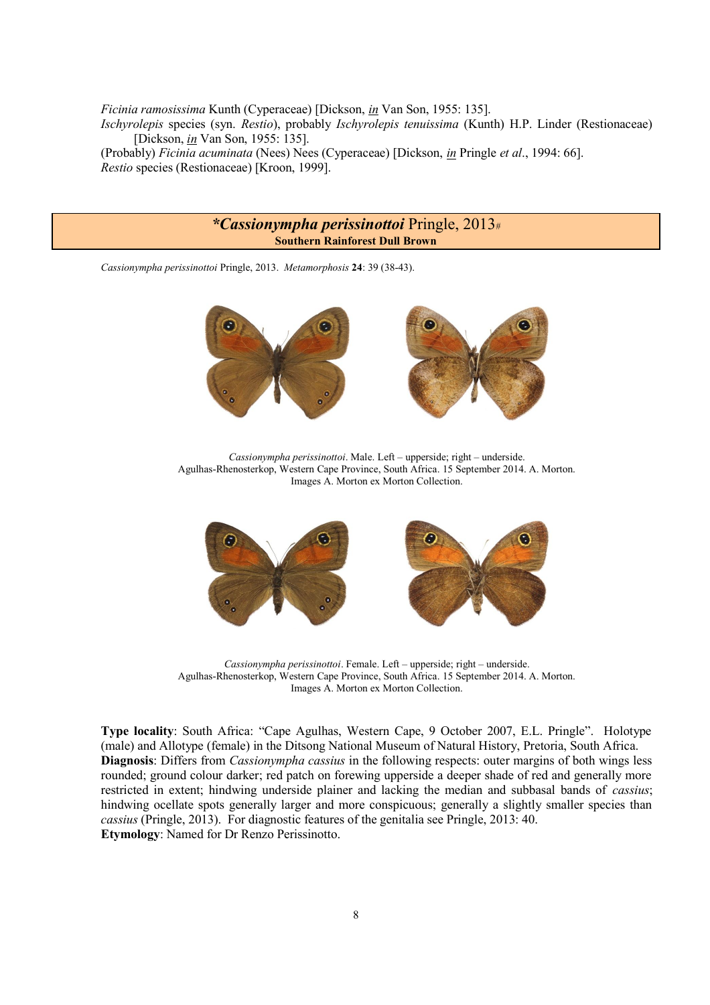*Ficinia ramosissima* Kunth (Cyperaceae) [Dickson, *in* Van Son, 1955: 135]. *Ischyrolepis* species (syn. *Restio*), probably *Ischyrolepis tenuissima* (Kunth) H.P. Linder (Restionaceae) [Dickson, *in* Van Son, 1955: 135]. (Probably) *Ficinia acuminata* (Nees) Nees (Cyperaceae) [Dickson, *in* Pringle *et al*., 1994: 66]. *Restio* species (Restionaceae) [Kroon, 1999].

## *\*Cassionympha perissinottoi* Pringle, 2013# **Southern Rainforest Dull Brown**

*Cassionympha perissinottoi* Pringle, 2013. *Metamorphosis* **24**: 39 (38-43).



*Cassionympha perissinottoi*. Male. Left – upperside; right – underside. Agulhas-Rhenosterkop, Western Cape Province, South Africa. 15 September 2014. A. Morton. Images A. Morton ex Morton Collection.



*Cassionympha perissinottoi*. Female. Left – upperside; right – underside. Agulhas-Rhenosterkop, Western Cape Province, South Africa. 15 September 2014. A. Morton. Images A. Morton ex Morton Collection.

**Type locality**: South Africa: "Cape Agulhas, Western Cape, 9 October 2007, E.L. Pringle". Holotype (male) and Allotype (female) in the Ditsong National Museum of Natural History, Pretoria, South Africa. **Diagnosis**: Differs from *Cassionympha cassius* in the following respects: outer margins of both wings less rounded; ground colour darker; red patch on forewing upperside a deeper shade of red and generally more restricted in extent; hindwing underside plainer and lacking the median and subbasal bands of *cassius*; hindwing ocellate spots generally larger and more conspicuous; generally a slightly smaller species than *cassius* (Pringle, 2013). For diagnostic features of the genitalia see Pringle, 2013: 40. **Etymology**: Named for Dr Renzo Perissinotto.